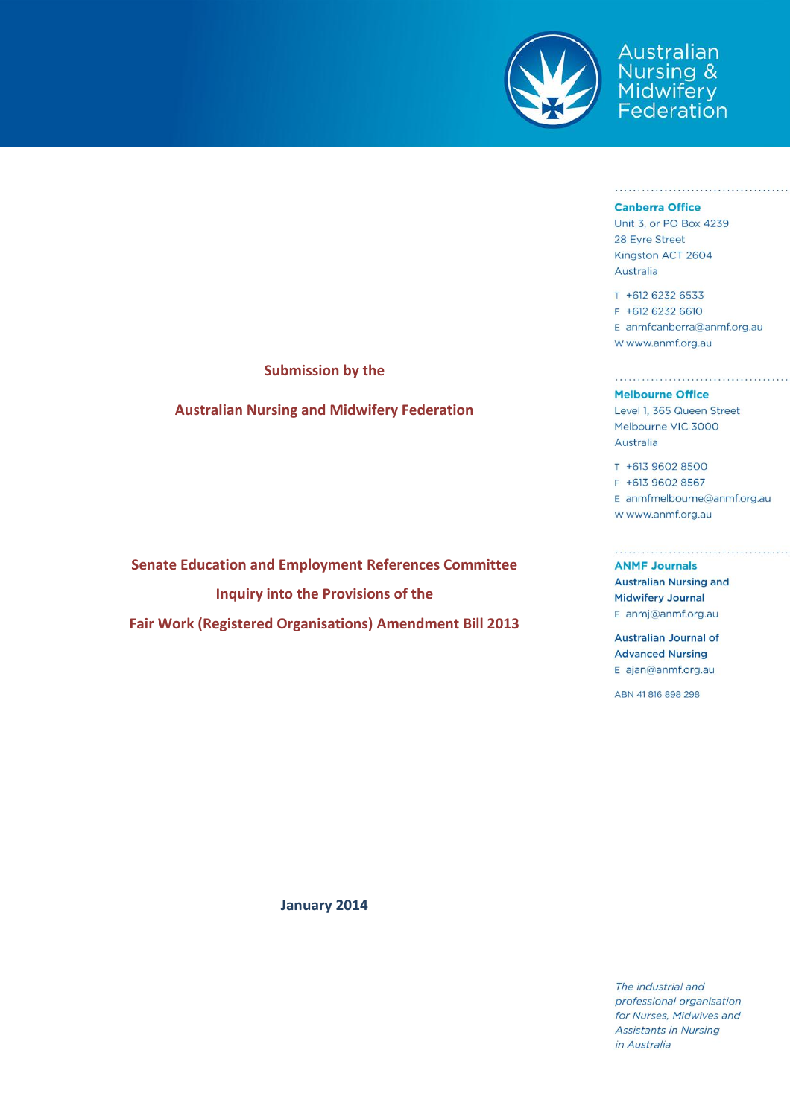

Australian Nursing<br>*Adwifery*<br>Federation

#### **Canberra Office**

Unit 3, or PO Box 4239 28 Eyre Street Kingston ACT 2604 Australia

T +612 6232 6533 F +612 6232 6610 E anmfcanberra@anmf.org.au W www.anmf.org.au

### **Melbourne Office**

Level 1, 365 Queen Street Melbourne VIC 3000 Australia

T +613 9602 8500 F +613 9602 8567 E anmfmelbourne@anmf.org.au W www.anmf.org.au

**ANMF Journals Australian Nursing and Midwifery Journal** E anmj@anmf.org.au

**Australian Journal of Advanced Nursing** E ajan@anmf.org.au

ABN 41816898298

**Submission by the**

**Australian Nursing and Midwifery Federation**

**Senate Education and Employment References Committee Inquiry into the Provisions of the Fair Work (Registered Organisations) Amendment Bill 2013**

**January 2014**

The industrial and professional organisation for Nurses, Midwives and **Assistants in Nursing** in Australia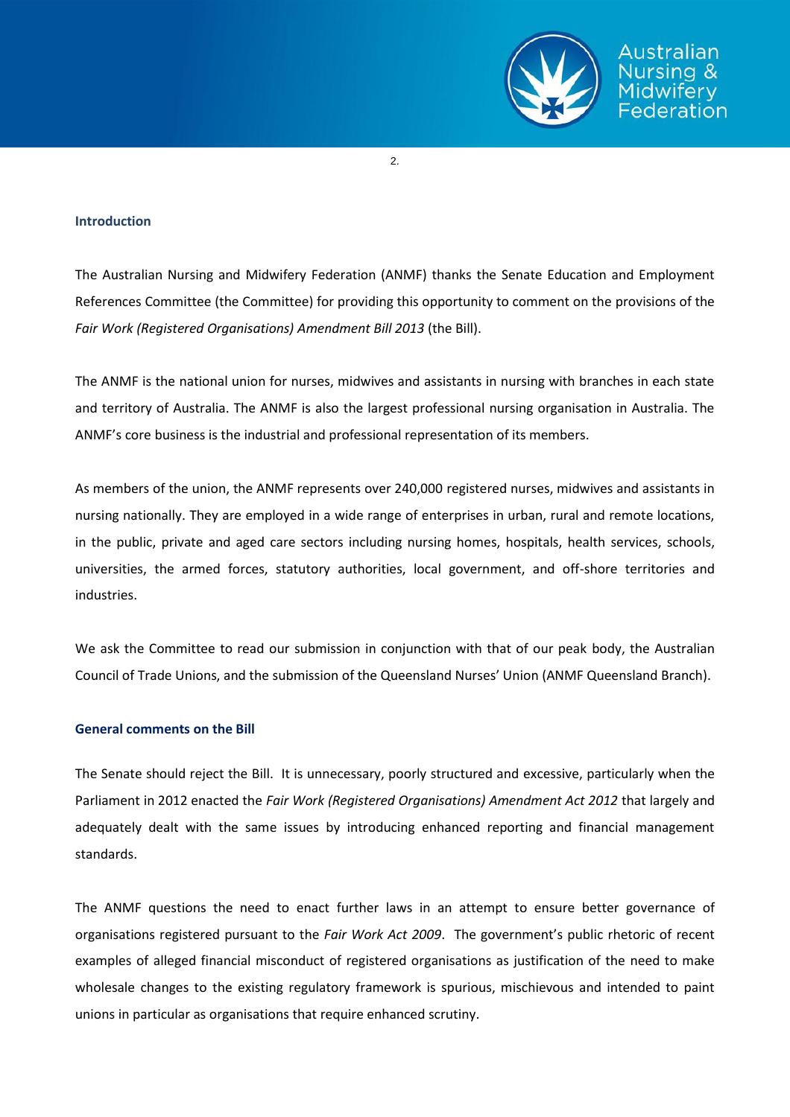

2.

## **Introduction**

The Australian Nursing and Midwifery Federation (ANMF) thanks the Senate Education and Employment References Committee (the Committee) for providing this opportunity to comment on the provisions of the *Fair Work (Registered Organisations) Amendment Bill 2013* (the Bill).

The ANMF is the national union for nurses, midwives and assistants in nursing with branches in each state and territory of Australia. The ANMF is also the largest professional nursing organisation in Australia. The ANMF's core business is the industrial and professional representation of its members.

As members of the union, the ANMF represents over 240,000 registered nurses, midwives and assistants in nursing nationally. They are employed in a wide range of enterprises in urban, rural and remote locations, in the public, private and aged care sectors including nursing homes, hospitals, health services, schools, universities, the armed forces, statutory authorities, local government, and off-shore territories and industries.

We ask the Committee to read our submission in conjunction with that of our peak body, the Australian Council of Trade Unions, and the submission of the Queensland Nurses' Union (ANMF Queensland Branch).

# **General comments on the Bill**

The Senate should reject the Bill. It is unnecessary, poorly structured and excessive, particularly when the Parliament in 2012 enacted the *Fair Work (Registered Organisations) Amendment Act 2012* that largely and adequately dealt with the same issues by introducing enhanced reporting and financial management standards.

The ANMF questions the need to enact further laws in an attempt to ensure better governance of organisations registered pursuant to the *Fair Work Act 2009*. The government's public rhetoric of recent examples of alleged financial misconduct of registered organisations as justification of the need to make wholesale changes to the existing regulatory framework is spurious, mischievous and intended to paint unions in particular as organisations that require enhanced scrutiny.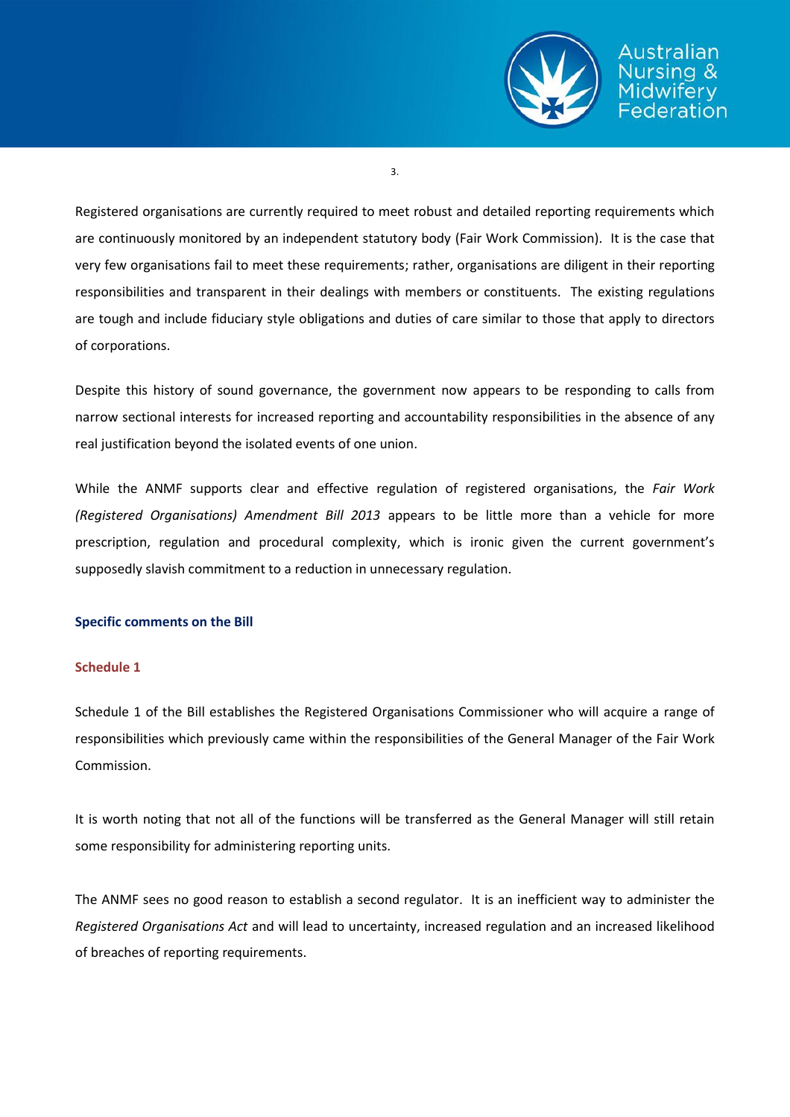

Australian ederation

3.

Registered organisations are currently required to meet robust and detailed reporting requirements which are continuously monitored by an independent statutory body (Fair Work Commission). It is the case that very few organisations fail to meet these requirements; rather, organisations are diligent in their reporting responsibilities and transparent in their dealings with members or constituents. The existing regulations are tough and include fiduciary style obligations and duties of care similar to those that apply to directors of corporations.

Despite this history of sound governance, the government now appears to be responding to calls from narrow sectional interests for increased reporting and accountability responsibilities in the absence of any real justification beyond the isolated events of one union.

While the ANMF supports clear and effective regulation of registered organisations, the *Fair Work (Registered Organisations) Amendment Bill 2013* appears to be little more than a vehicle for more prescription, regulation and procedural complexity, which is ironic given the current government's supposedly slavish commitment to a reduction in unnecessary regulation.

# **Specific comments on the Bill**

## **Schedule 1**

Schedule 1 of the Bill establishes the Registered Organisations Commissioner who will acquire a range of responsibilities which previously came within the responsibilities of the General Manager of the Fair Work Commission.

It is worth noting that not all of the functions will be transferred as the General Manager will still retain some responsibility for administering reporting units.

The ANMF sees no good reason to establish a second regulator. It is an inefficient way to administer the *Registered Organisations Act* and will lead to uncertainty, increased regulation and an increased likelihood of breaches of reporting requirements.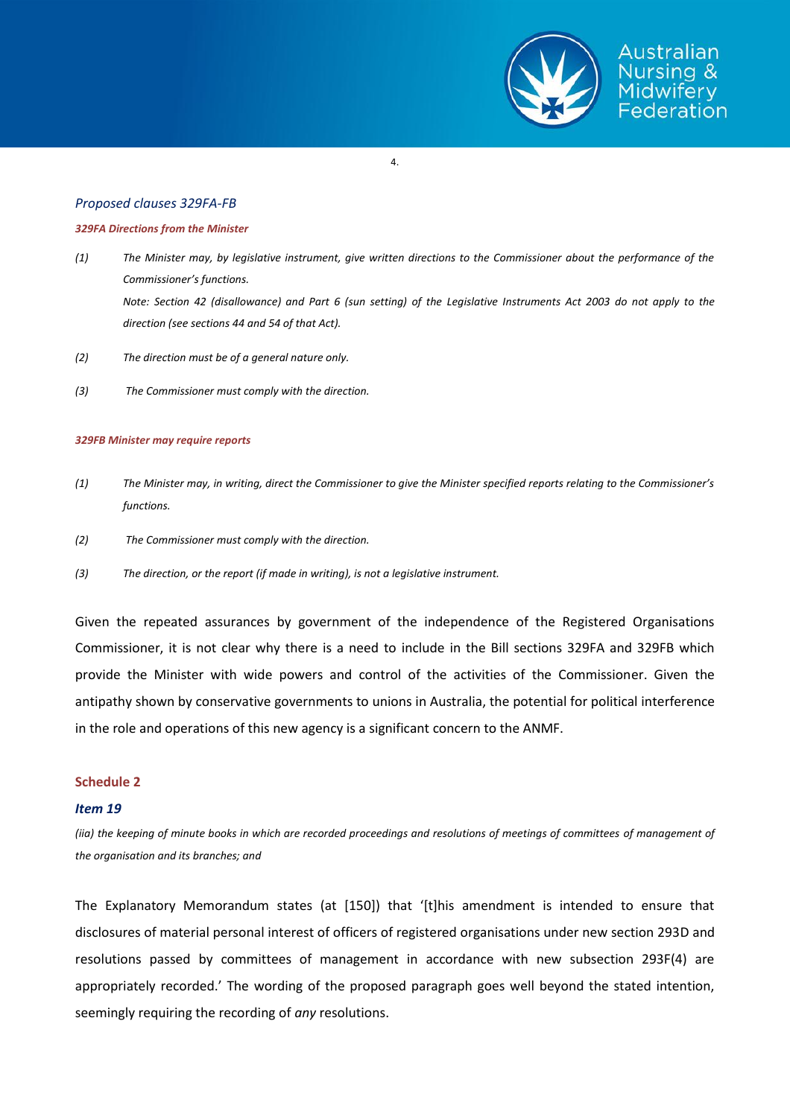

#### 4.

### *Proposed clauses 329FA-FB*

#### *329FA Directions from the Minister*

- *(1) The Minister may, by legislative instrument, give written directions to the Commissioner about the performance of the Commissioner's functions. Note: Section 42 (disallowance) and Part 6 (sun setting) of the Legislative Instruments Act 2003 do not apply to the direction (see sections 44 and 54 of that Act).*
- *(2) The direction must be of a general nature only.*
- *(3) The Commissioner must comply with the direction.*

#### *329FB Minister may require reports*

- *(1) The Minister may, in writing, direct the Commissioner to give the Minister specified reports relating to the Commissioner's functions.*
- *(2) The Commissioner must comply with the direction.*
- *(3) The direction, or the report (if made in writing), is not a legislative instrument.*

Given the repeated assurances by government of the independence of the Registered Organisations Commissioner, it is not clear why there is a need to include in the Bill sections 329FA and 329FB which provide the Minister with wide powers and control of the activities of the Commissioner. Given the antipathy shown by conservative governments to unions in Australia, the potential for political interference in the role and operations of this new agency is a significant concern to the ANMF.

### **Schedule 2**

### *Item 19*

*(iia) the keeping of minute books in which are recorded proceedings and resolutions of meetings of committees of management of the organisation and its branches; and*

The Explanatory Memorandum states (at [150]) that '[t]his amendment is intended to ensure that disclosures of material personal interest of officers of registered organisations under new section 293D and resolutions passed by committees of management in accordance with new subsection 293F(4) are appropriately recorded.' The wording of the proposed paragraph goes well beyond the stated intention, seemingly requiring the recording of *any* resolutions.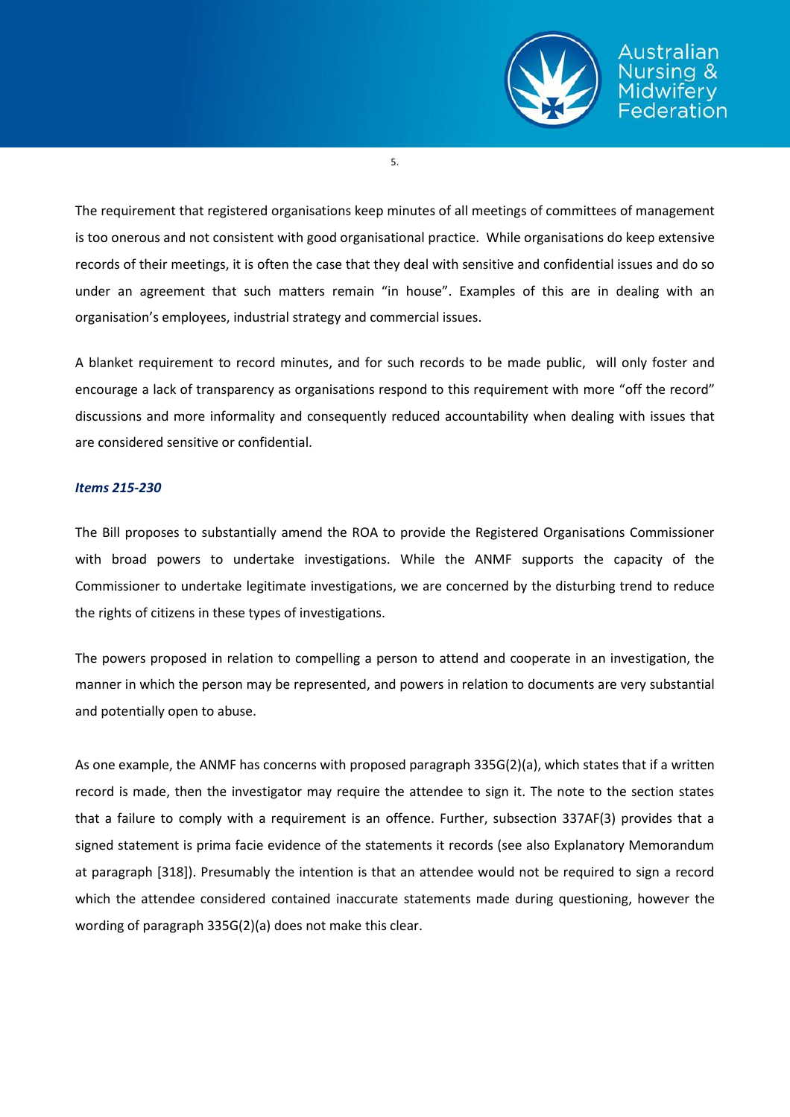

Australian ederation

5.

The requirement that registered organisations keep minutes of all meetings of committees of management is too onerous and not consistent with good organisational practice. While organisations do keep extensive records of their meetings, it is often the case that they deal with sensitive and confidential issues and do so under an agreement that such matters remain "in house". Examples of this are in dealing with an organisation's employees, industrial strategy and commercial issues.

A blanket requirement to record minutes, and for such records to be made public, will only foster and encourage a lack of transparency as organisations respond to this requirement with more "off the record" discussions and more informality and consequently reduced accountability when dealing with issues that are considered sensitive or confidential.

## *Items 215-230*

The Bill proposes to substantially amend the ROA to provide the Registered Organisations Commissioner with broad powers to undertake investigations. While the ANMF supports the capacity of the Commissioner to undertake legitimate investigations, we are concerned by the disturbing trend to reduce the rights of citizens in these types of investigations.

The powers proposed in relation to compelling a person to attend and cooperate in an investigation, the manner in which the person may be represented, and powers in relation to documents are very substantial and potentially open to abuse.

As one example, the ANMF has concerns with proposed paragraph 335G(2)(a), which states that if a written record is made, then the investigator may require the attendee to sign it. The note to the section states that a failure to comply with a requirement is an offence. Further, subsection 337AF(3) provides that a signed statement is prima facie evidence of the statements it records (see also Explanatory Memorandum at paragraph [318]). Presumably the intention is that an attendee would not be required to sign a record which the attendee considered contained inaccurate statements made during questioning, however the wording of paragraph 335G(2)(a) does not make this clear.